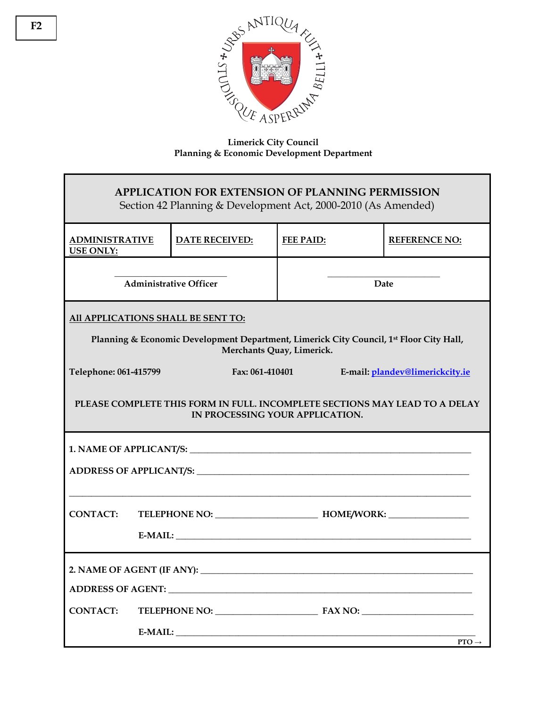

**Limerick City Council Planning & Economic Development Department** 

| <b>APPLICATION FOR EXTENSION OF PLANNING PERMISSION</b><br>Section 42 Planning & Development Act, 2000-2010 (As Amended) |  |                       |      |                  |  |                                |
|--------------------------------------------------------------------------------------------------------------------------|--|-----------------------|------|------------------|--|--------------------------------|
| <b>ADMINISTRATIVE</b><br><b>USE ONLY:</b>                                                                                |  | <b>DATE RECEIVED:</b> |      | <b>FEE PAID:</b> |  | <b>REFERENCE NO:</b>           |
| <b>Administrative Officer</b>                                                                                            |  |                       | Date |                  |  |                                |
| All APPLICATIONS SHALL BE SENT TO:                                                                                       |  |                       |      |                  |  |                                |
| Planning & Economic Development Department, Limerick City Council, 1st Floor City Hall,<br>Merchants Quay, Limerick.     |  |                       |      |                  |  |                                |
| Telephone: 061-415799<br>Fax: 061-410401<br>E-mail: plandev@limerickcity.ie                                              |  |                       |      |                  |  |                                |
| PLEASE COMPLETE THIS FORM IN FULL. INCOMPLETE SECTIONS MAY LEAD TO A DELAY<br>IN PROCESSING YOUR APPLICATION.            |  |                       |      |                  |  |                                |
|                                                                                                                          |  |                       |      |                  |  |                                |
|                                                                                                                          |  |                       |      |                  |  |                                |
|                                                                                                                          |  |                       |      |                  |  |                                |
| <b>CONTACT:</b>                                                                                                          |  |                       |      |                  |  |                                |
|                                                                                                                          |  |                       |      |                  |  |                                |
|                                                                                                                          |  |                       |      |                  |  |                                |
|                                                                                                                          |  |                       |      |                  |  |                                |
| <b>CONTACT:</b>                                                                                                          |  |                       |      |                  |  |                                |
|                                                                                                                          |  |                       |      |                  |  | $E-MAIL:$<br>$PTO \rightarrow$ |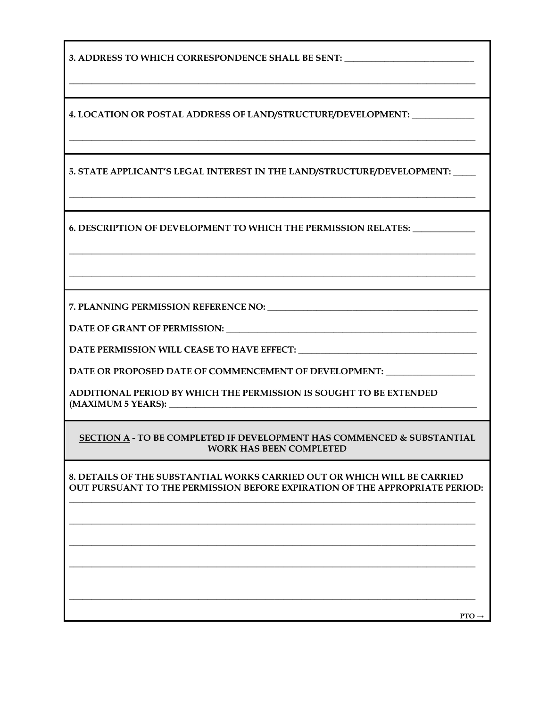**3. ADDRESS TO WHICH CORRESPONDENCE SHALL BE SENT:** \_\_\_\_\_\_\_\_\_\_\_\_\_\_\_\_\_\_\_\_\_\_\_\_\_\_\_\_\_

**4. LOCATION OR POSTAL ADDRESS OF LAND/STRUCTURE/DEVELOPMENT:** \_\_\_\_\_\_\_\_\_\_\_\_\_\_

**5. STATE APPLICANT'S LEGAL INTEREST IN THE LAND/STRUCTURE/DEVELOPMENT:** \_\_\_\_\_

\_\_\_\_\_\_\_\_\_\_\_\_\_\_\_\_\_\_\_\_\_\_\_\_\_\_\_\_\_\_\_\_\_\_\_\_\_\_\_\_\_\_\_\_\_\_\_\_\_\_\_\_\_\_\_\_\_\_\_\_\_\_\_\_\_\_\_\_\_\_\_\_\_\_\_\_\_\_\_\_\_\_\_\_\_\_\_\_\_\_\_

\_\_\_\_\_\_\_\_\_\_\_\_\_\_\_\_\_\_\_\_\_\_\_\_\_\_\_\_\_\_\_\_\_\_\_\_\_\_\_\_\_\_\_\_\_\_\_\_\_\_\_\_\_\_\_\_\_\_\_\_\_\_\_\_\_\_\_\_\_\_\_\_\_\_\_\_\_\_\_\_\_\_\_\_\_\_\_\_\_\_\_

\_\_\_\_\_\_\_\_\_\_\_\_\_\_\_\_\_\_\_\_\_\_\_\_\_\_\_\_\_\_\_\_\_\_\_\_\_\_\_\_\_\_\_\_\_\_\_\_\_\_\_\_\_\_\_\_\_\_\_\_\_\_\_\_\_\_\_\_\_\_\_\_\_\_\_\_\_\_\_\_\_\_\_\_\_\_\_\_\_\_\_

\_\_\_\_\_\_\_\_\_\_\_\_\_\_\_\_\_\_\_\_\_\_\_\_\_\_\_\_\_\_\_\_\_\_\_\_\_\_\_\_\_\_\_\_\_\_\_\_\_\_\_\_\_\_\_\_\_\_\_\_\_\_\_\_\_\_\_\_\_\_\_\_\_\_\_\_\_\_\_\_\_\_\_\_\_\_\_\_\_\_\_

\_\_\_\_\_\_\_\_\_\_\_\_\_\_\_\_\_\_\_\_\_\_\_\_\_\_\_\_\_\_\_\_\_\_\_\_\_\_\_\_\_\_\_\_\_\_\_\_\_\_\_\_\_\_\_\_\_\_\_\_\_\_\_\_\_\_\_\_\_\_\_\_\_\_\_\_\_\_\_\_\_\_\_\_\_\_\_\_\_\_\_

**6. DESCRIPTION OF DEVELOPMENT TO WHICH THE PERMISSION RELATES:** \_\_\_\_\_\_\_\_\_\_\_\_\_\_

**7. PLANNING PERMISSION REFERENCE NO: \_\_\_\_\_\_\_\_\_\_\_\_\_\_\_\_\_\_\_\_\_\_\_\_\_\_\_\_\_\_\_\_\_\_\_\_\_\_\_\_\_\_\_\_\_\_\_** 

**DATE OF GRANT OF PERMISSION: \_\_\_\_\_\_\_\_\_\_\_\_\_\_\_\_\_\_\_\_\_\_\_\_\_\_\_\_\_\_\_\_\_\_\_\_\_\_\_\_\_\_\_\_\_\_\_\_\_\_\_\_\_\_\_\_** 

DATE PERMISSION WILL CEASE TO HAVE EFFECT:

DATE OR PROPOSED DATE OF COMMENCEMENT OF DEVELOPMENT:

**ADDITIONAL PERIOD BY WHICH THE PERMISSION IS SOUGHT TO BE EXTENDED (MAXIMUM 5 YEARS): \_\_\_\_\_\_\_\_\_\_\_\_\_\_\_\_\_\_\_\_\_\_\_\_\_\_\_\_\_\_\_\_\_\_\_\_\_\_\_\_\_\_\_\_\_\_\_\_\_\_\_\_\_\_\_\_\_\_\_\_\_\_\_\_\_\_\_\_\_** 

## **SECTION A - TO BE COMPLETED IF DEVELOPMENT HAS COMMENCED & SUBSTANTIAL WORK HAS BEEN COMPLETED**

**8. DETAILS OF THE SUBSTANTIAL WORKS CARRIED OUT OR WHICH WILL BE CARRIED OUT PURSUANT TO THE PERMISSION BEFORE EXPIRATION OF THE APPROPRIATE PERIOD:** 

**\_\_\_\_\_\_\_\_\_\_\_\_\_\_\_\_\_\_\_\_\_\_\_\_\_\_\_\_\_\_\_\_\_\_\_\_\_\_\_\_\_\_\_\_\_\_\_\_\_\_\_\_\_\_\_\_\_\_\_\_\_\_\_\_\_\_\_\_\_\_\_\_\_\_\_\_\_\_\_\_\_\_\_\_\_\_\_\_\_\_\_** 

**\_\_\_\_\_\_\_\_\_\_\_\_\_\_\_\_\_\_\_\_\_\_\_\_\_\_\_\_\_\_\_\_\_\_\_\_\_\_\_\_\_\_\_\_\_\_\_\_\_\_\_\_\_\_\_\_\_\_\_\_\_\_\_\_\_\_\_\_\_\_\_\_\_\_\_\_\_\_\_\_\_\_\_\_\_\_\_\_\_\_\_** 

**\_\_\_\_\_\_\_\_\_\_\_\_\_\_\_\_\_\_\_\_\_\_\_\_\_\_\_\_\_\_\_\_\_\_\_\_\_\_\_\_\_\_\_\_\_\_\_\_\_\_\_\_\_\_\_\_\_\_\_\_\_\_\_\_\_\_\_\_\_\_\_\_\_\_\_\_\_\_\_\_\_\_\_\_\_\_\_\_\_\_\_** 

**\_\_\_\_\_\_\_\_\_\_\_\_\_\_\_\_\_\_\_\_\_\_\_\_\_\_\_\_\_\_\_\_\_\_\_\_\_\_\_\_\_\_\_\_\_\_\_\_\_\_\_\_\_\_\_\_\_\_\_\_\_\_\_\_\_\_\_\_\_\_\_\_\_\_\_\_\_\_\_\_\_\_\_\_\_\_\_\_\_\_\_** 

**\_\_\_\_\_\_\_\_\_\_\_\_\_\_\_\_\_\_\_\_\_\_\_\_\_\_\_\_\_\_\_\_\_\_\_\_\_\_\_\_\_\_\_\_\_\_\_\_\_\_\_\_\_\_\_\_\_\_\_\_\_\_\_\_\_\_\_\_\_\_\_\_\_\_\_\_\_\_\_\_\_\_\_\_\_\_\_\_\_\_\_** 

**PTO →**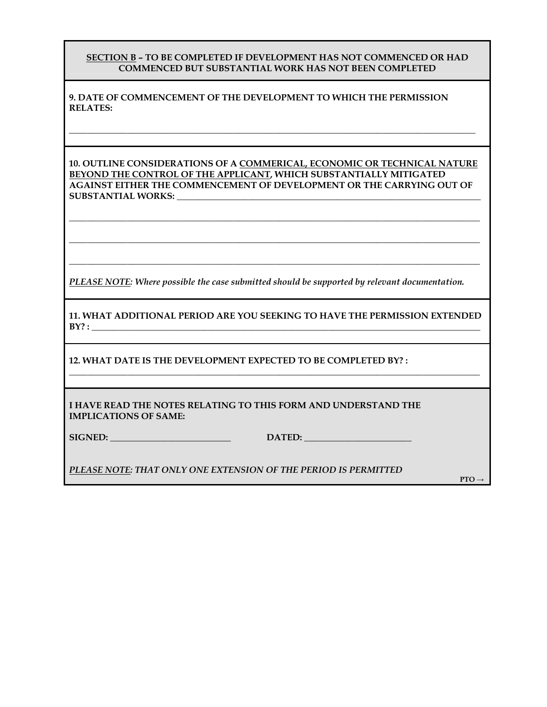## **SECTION B – TO BE COMPLETED IF DEVELOPMENT HAS NOT COMMENCED OR HAD COMMENCED BUT SUBSTANTIAL WORK HAS NOT BEEN COMPLETED**

**9. DATE OF COMMENCEMENT OF THE DEVELOPMENT TO WHICH THE PERMISSION RELATES:** 

**10. OUTLINE CONSIDERATIONS OF A COMMERICAL, ECONOMIC OR TECHNICAL NATURE BEYOND THE CONTROL OF THE APPLICANT, WHICH SUBSTANTIALLY MITIGATED AGAINST EITHER THE COMMENCEMENT OF DEVELOPMENT OR THE CARRYING OUT OF SUBSTANTIAL WORKS: \_\_\_\_\_\_\_\_\_\_\_\_\_\_\_\_\_\_\_\_\_\_\_\_\_\_\_\_\_\_\_\_\_\_\_\_\_\_\_\_\_\_\_\_\_\_\_\_\_\_\_\_\_\_\_\_\_\_\_\_\_\_\_\_\_\_\_\_** 

**\_\_\_\_\_\_\_\_\_\_\_\_\_\_\_\_\_\_\_\_\_\_\_\_\_\_\_\_\_\_\_\_\_\_\_\_\_\_\_\_\_\_\_\_\_\_\_\_\_\_\_\_\_\_\_\_\_\_\_\_\_\_\_\_\_\_\_\_\_\_\_\_\_\_\_\_\_\_\_\_\_\_\_\_\_\_\_\_\_\_\_\_** 

**\_\_\_\_\_\_\_\_\_\_\_\_\_\_\_\_\_\_\_\_\_\_\_\_\_\_\_\_\_\_\_\_\_\_\_\_\_\_\_\_\_\_\_\_\_\_\_\_\_\_\_\_\_\_\_\_\_\_\_\_\_\_\_\_\_\_\_\_\_\_\_\_\_\_\_\_\_\_\_\_\_\_\_\_\_\_\_\_\_\_\_\_** 

**\_\_\_\_\_\_\_\_\_\_\_\_\_\_\_\_\_\_\_\_\_\_\_\_\_\_\_\_\_\_\_\_\_\_\_\_\_\_\_\_\_\_\_\_\_\_\_\_\_\_\_\_\_\_\_\_\_\_\_\_\_\_\_\_\_\_\_\_\_\_\_\_\_\_\_\_\_\_\_\_\_\_\_\_\_\_\_\_\_\_\_\_** 

**\_\_\_\_\_\_\_\_\_\_\_\_\_\_\_\_\_\_\_\_\_\_\_\_\_\_\_\_\_\_\_\_\_\_\_\_\_\_\_\_\_\_\_\_\_\_\_\_\_\_\_\_\_\_\_\_\_\_\_\_\_\_\_\_\_\_\_\_\_\_\_\_\_\_\_\_\_\_\_\_\_\_\_\_\_\_\_\_\_\_\_** 

*PLEASE NOTE: Where possible the case submitted should be supported by relevant documentation.* 

**11. WHAT ADDITIONAL PERIOD ARE YOU SEEKING TO HAVE THE PERMISSION EXTENDED BY? : \_\_\_\_\_\_\_\_\_\_\_\_\_\_\_\_\_\_\_\_\_\_\_\_\_\_\_\_\_\_\_\_\_\_\_\_\_\_\_\_\_\_\_\_\_\_\_\_\_\_\_\_\_\_\_\_\_\_\_\_\_\_\_\_\_\_\_\_\_\_\_\_\_\_\_\_\_\_\_\_\_\_\_\_\_\_\_** 

**\_\_\_\_\_\_\_\_\_\_\_\_\_\_\_\_\_\_\_\_\_\_\_\_\_\_\_\_\_\_\_\_\_\_\_\_\_\_\_\_\_\_\_\_\_\_\_\_\_\_\_\_\_\_\_\_\_\_\_\_\_\_\_\_\_\_\_\_\_\_\_\_\_\_\_\_\_\_\_\_\_\_\_\_\_\_\_\_\_\_\_\_** 

**12. WHAT DATE IS THE DEVELOPMENT EXPECTED TO BE COMPLETED BY? :** 

**I HAVE READ THE NOTES RELATING TO THIS FORM AND UNDERSTAND THE IMPLICATIONS OF SAME:** 

**SIGNED: \_\_\_\_\_\_\_\_\_\_\_\_\_\_\_\_\_\_\_\_\_\_\_\_\_\_\_ DATED: \_\_\_\_\_\_\_\_\_\_\_\_\_\_\_\_\_\_\_\_\_\_\_\_** 

*PLEASE NOTE: THAT ONLY ONE EXTENSION OF THE PERIOD IS PERMITTED* 

 **PTO** → PTO → PTO → PTO → PTO → PTO → PTO → PTO → PTO → PTO → PTO → PTO → PTO →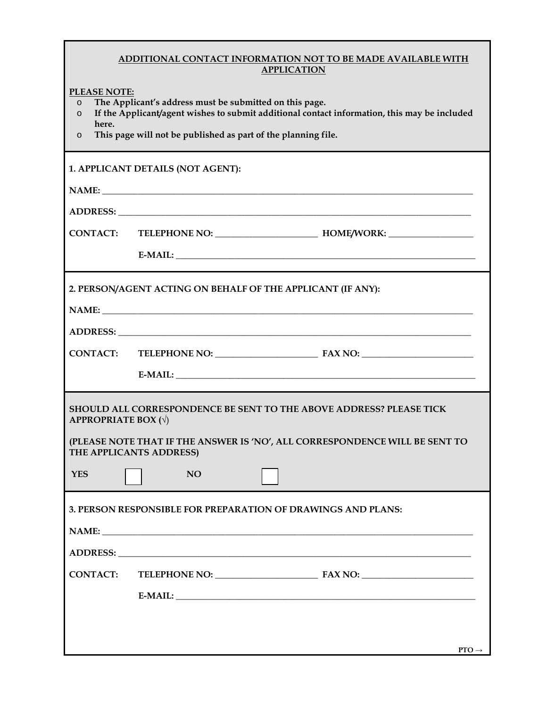## **ADDITIONAL CONTACT INFORMATION NOT TO BE MADE AVAILABLE WITH APPLICATION**

**PLEASE NOTE:**

- o **The Applicant's address must be submitted on this page.**
- o **If the Applicant/agent wishes to submit additional contact information, this may be included here.**
- o **This page will not be published as part of the planning file.**

| 1. APPLICANT DETAILS (NOT AGENT):                                                                       |                                |                   |  |  |  |  |
|---------------------------------------------------------------------------------------------------------|--------------------------------|-------------------|--|--|--|--|
|                                                                                                         |                                |                   |  |  |  |  |
|                                                                                                         |                                |                   |  |  |  |  |
|                                                                                                         |                                |                   |  |  |  |  |
|                                                                                                         |                                |                   |  |  |  |  |
|                                                                                                         |                                |                   |  |  |  |  |
| 2. PERSON/AGENT ACTING ON BEHALF OF THE APPLICANT (IF ANY):                                             |                                |                   |  |  |  |  |
|                                                                                                         | NAME: NAME                     |                   |  |  |  |  |
|                                                                                                         |                                |                   |  |  |  |  |
|                                                                                                         | CONTACT: TELEPHONE NO: FAX NO: |                   |  |  |  |  |
|                                                                                                         |                                |                   |  |  |  |  |
| SHOULD ALL CORRESPONDENCE BE SENT TO THE ABOVE ADDRESS? PLEASE TICK<br><b>APPROPRIATE BOX</b> $(\sqrt)$ |                                |                   |  |  |  |  |
| (PLEASE NOTE THAT IF THE ANSWER IS 'NO', ALL CORRESPONDENCE WILL BE SENT TO<br>THE APPLICANTS ADDRESS)  |                                |                   |  |  |  |  |
| <b>YES</b>                                                                                              | <b>NO</b>                      |                   |  |  |  |  |
| 3. PERSON RESPONSIBLE FOR PREPARATION OF DRAWINGS AND PLANS:                                            |                                |                   |  |  |  |  |
|                                                                                                         |                                |                   |  |  |  |  |
| <b>ADDRESS:</b>                                                                                         |                                |                   |  |  |  |  |
| <b>CONTACT:</b>                                                                                         |                                |                   |  |  |  |  |
|                                                                                                         |                                |                   |  |  |  |  |
|                                                                                                         |                                |                   |  |  |  |  |
|                                                                                                         |                                |                   |  |  |  |  |
|                                                                                                         |                                | $PTO \rightarrow$ |  |  |  |  |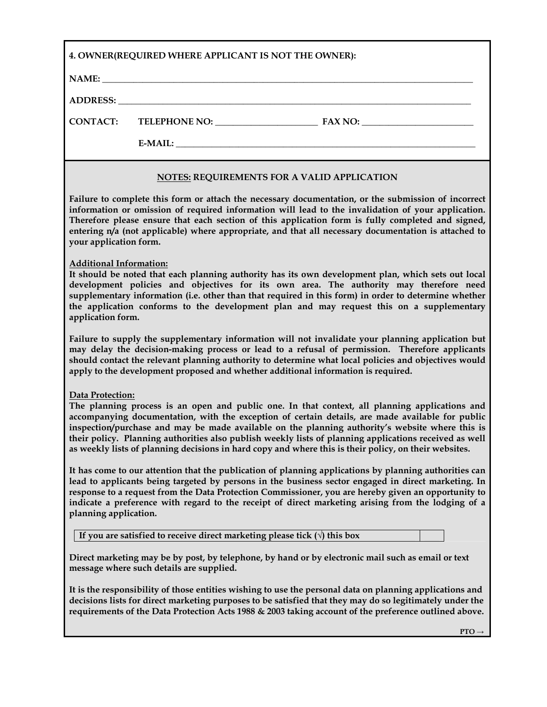| 4. OWNER(REQUIRED WHERE APPLICANT IS NOT THE OWNER):                                                                                                                                                                                                                                                                                                                                                                                                                                                                                         |                                                    |  |  |  |  |
|----------------------------------------------------------------------------------------------------------------------------------------------------------------------------------------------------------------------------------------------------------------------------------------------------------------------------------------------------------------------------------------------------------------------------------------------------------------------------------------------------------------------------------------------|----------------------------------------------------|--|--|--|--|
|                                                                                                                                                                                                                                                                                                                                                                                                                                                                                                                                              |                                                    |  |  |  |  |
|                                                                                                                                                                                                                                                                                                                                                                                                                                                                                                                                              |                                                    |  |  |  |  |
| <b>CONTACT:</b>                                                                                                                                                                                                                                                                                                                                                                                                                                                                                                                              |                                                    |  |  |  |  |
|                                                                                                                                                                                                                                                                                                                                                                                                                                                                                                                                              |                                                    |  |  |  |  |
|                                                                                                                                                                                                                                                                                                                                                                                                                                                                                                                                              | <b>NOTES: REQUIREMENTS FOR A VALID APPLICATION</b> |  |  |  |  |
| Failure to complete this form or attach the necessary documentation, or the submission of incorrect<br>information or omission of required information will lead to the invalidation of your application.<br>Therefore please ensure that each section of this application form is fully completed and signed,<br>entering n/a (not applicable) where appropriate, and that all necessary documentation is attached to<br>your application form.                                                                                             |                                                    |  |  |  |  |
| <b>Additional Information:</b><br>It should be noted that each planning authority has its own development plan, which sets out local<br>development policies and objectives for its own area. The authority may therefore need<br>supplementary information (i.e. other than that required in this form) in order to determine whether<br>the application conforms to the development plan and may request this on a supplementary<br>application form.                                                                                      |                                                    |  |  |  |  |
| Failure to supply the supplementary information will not invalidate your planning application but<br>may delay the decision-making process or lead to a refusal of permission. Therefore applicants<br>should contact the relevant planning authority to determine what local policies and objectives would<br>apply to the development proposed and whether additional information is required.                                                                                                                                             |                                                    |  |  |  |  |
| Data Protection:<br>The planning process is an open and public one. In that context, all planning applications and<br>accompanying documentation, with the exception of certain details, are made available for public<br>inspection/purchase and may be made available on the planning authority's website where this is<br>their policy. Planning authorities also publish weekly lists of planning applications received as well<br>as weekly lists of planning decisions in hard copy and where this is their policy, on their websites. |                                                    |  |  |  |  |
| It has come to our attention that the publication of planning applications by planning authorities can<br>lead to applicants being targeted by persons in the business sector engaged in direct marketing. In<br>response to a request from the Data Protection Commissioner, you are hereby given an opportunity to<br>indicate a preference with regard to the receipt of direct marketing arising from the lodging of a<br>planning application.                                                                                          |                                                    |  |  |  |  |
| If you are satisfied to receive direct marketing please tick $\overline{(\cdot)}$ this box                                                                                                                                                                                                                                                                                                                                                                                                                                                   |                                                    |  |  |  |  |
| Direct marketing may be by post, by telephone, by hand or by electronic mail such as email or text<br>message where such details are supplied.                                                                                                                                                                                                                                                                                                                                                                                               |                                                    |  |  |  |  |
| It is the responsibility of those entities wishing to use the personal data on planning applications and<br>decisions lists for direct marketing purposes to be satisfied that they may do so legitimately under the<br>requirements of the Data Protection Acts 1988 & 2003 taking account of the preference outlined above.                                                                                                                                                                                                                |                                                    |  |  |  |  |
|                                                                                                                                                                                                                                                                                                                                                                                                                                                                                                                                              | $PTO \rightarrow$                                  |  |  |  |  |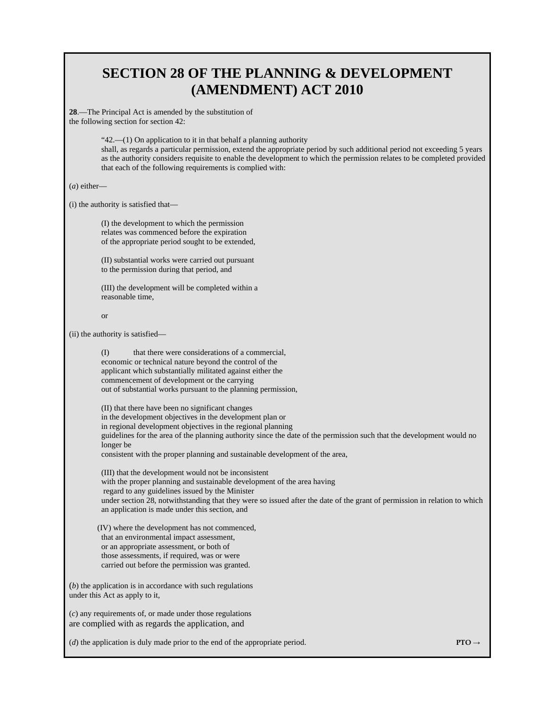## **SECTION 28 OF THE PLANNING & DEVELOPMENT (AMENDMENT) ACT 2010**

**28**.—The Principal Act is amended by the substitution of the following section for section 42:

> "42.—(1) On application to it in that behalf a planning authority shall, as regards a particular permission, extend the appropriate period by such additional period not exceeding 5 years as the authority considers requisite to enable the development to which the permission relates to be completed provided that each of the following requirements is complied with:

(*a*) either—

(i) the authority is satisfied that—

(I) the development to which the permission relates was commenced before the expiration of the appropriate period sought to be extended,

(II) substantial works were carried out pursuant to the permission during that period, and

(III) the development will be completed within a reasonable time,

```
or
```
(ii) the authority is satisfied—

(I) that there were considerations of a commercial, economic or technical nature beyond the control of the applicant which substantially militated against either the commencement of development or the carrying out of substantial works pursuant to the planning permission,

(II) that there have been no significant changes in the development objectives in the development plan or in regional development objectives in the regional planning guidelines for the area of the planning authority since the date of the permission such that the development would no longer be consistent with the proper planning and sustainable development of the area,

(III) that the development would not be inconsistent with the proper planning and sustainable development of the area having regard to any guidelines issued by the Minister under section 28, notwithstanding that they were so issued after the date of the grant of permission in relation to which an application is made under this section, and

 (IV) where the development has not commenced, that an environmental impact assessment, or an appropriate assessment, or both of those assessments, if required, was or were carried out before the permission was granted.

(*b*) the application is in accordance with such regulations under this Act as apply to it,

(*c*) any requirements of, or made under those regulations are complied with as regards the application, and

(*d*) the application is duly made prior to the end of the appropriate period. **PTO**  $\rightarrow$